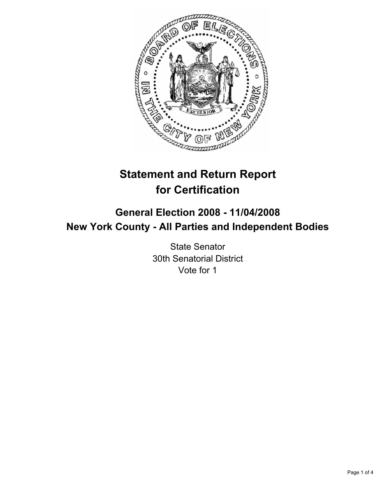

# **Statement and Return Report for Certification**

## **General Election 2008 - 11/04/2008 New York County - All Parties and Independent Bodies**

State Senator 30th Senatorial District Vote for 1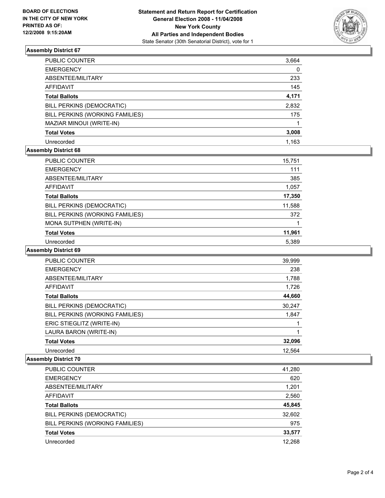

### **Assembly District 67**

| PUBLIC COUNTER                  | 3,664 |
|---------------------------------|-------|
| <b>EMERGENCY</b>                | 0     |
| ABSENTEE/MILITARY               | 233   |
| <b>AFFIDAVIT</b>                | 145   |
| <b>Total Ballots</b>            | 4,171 |
| BILL PERKINS (DEMOCRATIC)       | 2,832 |
| BILL PERKINS (WORKING FAMILIES) | 175   |
| MAZIAR MINOUI (WRITE-IN)        |       |
| <b>Total Votes</b>              | 3,008 |
| Unrecorded                      | 1.163 |

#### **Assembly District 68**

| PUBLIC COUNTER                  | 15,751 |
|---------------------------------|--------|
| <b>EMERGENCY</b>                | 111    |
| ABSENTEE/MILITARY               | 385    |
| AFFIDAVIT                       | 1,057  |
| <b>Total Ballots</b>            | 17,350 |
| BILL PERKINS (DEMOCRATIC)       | 11,588 |
| BILL PERKINS (WORKING FAMILIES) | 372    |
| MONA SUTPHEN (WRITE-IN)         |        |
| <b>Total Votes</b>              | 11,961 |
| Unrecorded                      | 5.389  |

#### **Assembly District 69**

| PUBLIC COUNTER                  | 39,999 |
|---------------------------------|--------|
| <b>EMERGENCY</b>                | 238    |
| ABSENTEE/MILITARY               | 1,788  |
| AFFIDAVIT                       | 1,726  |
| <b>Total Ballots</b>            | 44,660 |
| BILL PERKINS (DEMOCRATIC)       | 30,247 |
| BILL PERKINS (WORKING FAMILIES) | 1,847  |
| ERIC STIEGLITZ (WRITE-IN)       |        |
| LAURA BARON (WRITE-IN)          |        |
| <b>Total Votes</b>              | 32,096 |
| Unrecorded                      | 12,564 |

#### **Assembly District 70**

| <b>PUBLIC COUNTER</b><br>41,280     |     |
|-------------------------------------|-----|
| <b>EMERGENCY</b>                    | 620 |
| ABSENTEE/MILITARY<br>1,201          |     |
| 2,560<br>AFFIDAVIT                  |     |
| 45,845<br><b>Total Ballots</b>      |     |
| 32,602<br>BILL PERKINS (DEMOCRATIC) |     |
| BILL PERKINS (WORKING FAMILIES)     | 975 |
| 33,577<br><b>Total Votes</b>        |     |
| 12,268<br>Unrecorded                |     |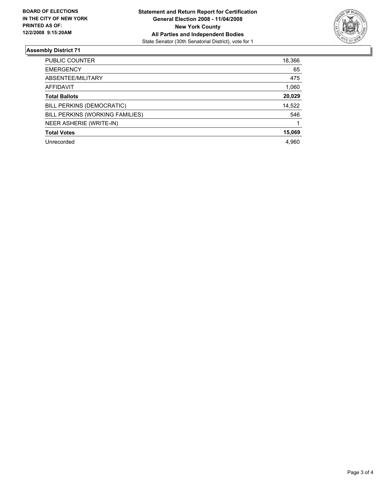

### **Assembly District 71**

| <b>PUBLIC COUNTER</b>           | 18,366 |
|---------------------------------|--------|
| <b>EMERGENCY</b>                | 65     |
| ABSENTEE/MILITARY               | 475    |
| AFFIDAVIT                       | 1,060  |
| <b>Total Ballots</b>            | 20,029 |
| BILL PERKINS (DEMOCRATIC)       | 14,522 |
| BILL PERKINS (WORKING FAMILIES) | 546    |
| NEER ASHERIE (WRITE-IN)         |        |
| <b>Total Votes</b>              | 15,069 |
| Unrecorded                      | 4,960  |